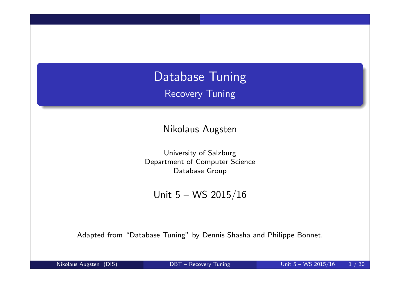# Database Tuning Recovery Tuning

Nikolaus Augsten

University of Salzburg Department of Computer Science Database Group

Unit 5 – WS 2015/16

Adapted from "Database Tuning" by Dennis Shasha and Philippe Bonnet.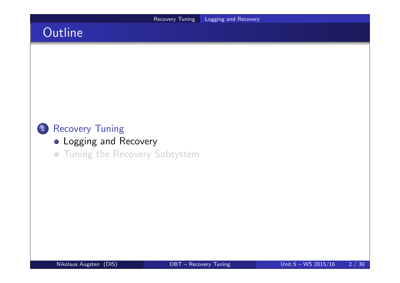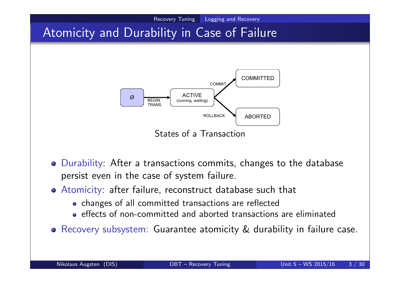

- Durability: After a transactions commits, changes to the database persist even in the case of system failure.
- Atomicity: after failure, reconstruct database such that
	- changes of all committed transactions are reflected
	- effects of non-committed and aborted transactions are eliminated
- Recovery subsystem: Guarantee atomicity & durability in failure case.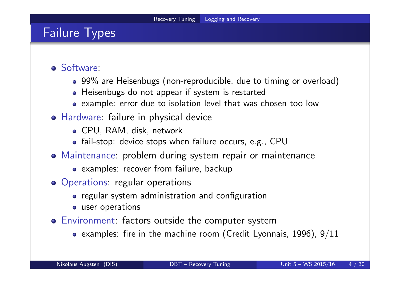## Failure Types

- Software:
	- 99% are Heisenbugs (non-reproducible, due to timing or overload)
	- Heisenbugs do not appear if system is restarted
	- example: error due to isolation level that was chosen too low
- Hardware: failure in physical device
	- CPU, RAM, disk, network
	- fail-stop: device stops when failure occurs, e.g., CPU
- Maintenance: problem during system repair or maintenance
	- examples: recover from failure, backup
- Operations: regular operations
	- regular system administration and configuration
	- user operations
- Environment: factors outside the computer system
	- examples: fire in the machine room (Credit Lyonnais, 1996),  $9/11$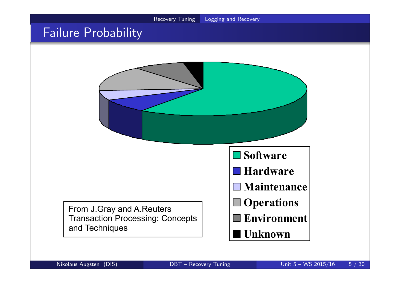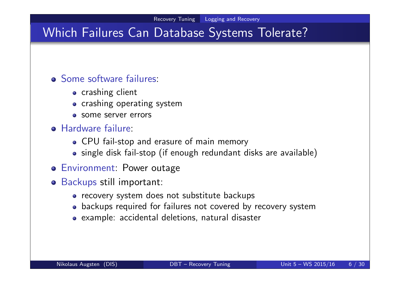## Which Failures Can Database Systems Tolerate?

### Some software failures:

- **•** crashing client
- crashing operating system
- **o** some server errors

#### **• Hardware failure:**

- CPU fail-stop and erasure of main memory
- single disk fail-stop (if enough redundant disks are available)
- Environment: Power outage
- Backups still important:
	- recovery system does not substitute backups
	- backups required for failures not covered by recovery system
	- example: accidental deletions, natural disaster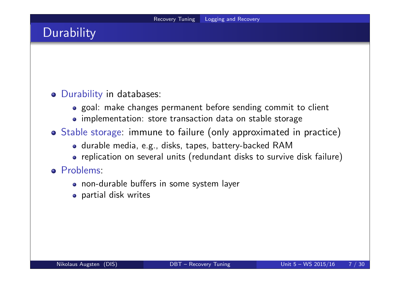# **Durability**

### Durability in databases:

- goal: make changes permanent before sending commit to client
- implementation: store transaction data on stable storage
- Stable storage: immune to failure (only approximated in practice)
	- durable media, e.g., disks, tapes, battery-backed RAM
	- replication on several units (redundant disks to survive disk failure)

#### Problems:

- non-durable buffers in some system layer
- **•** partial disk writes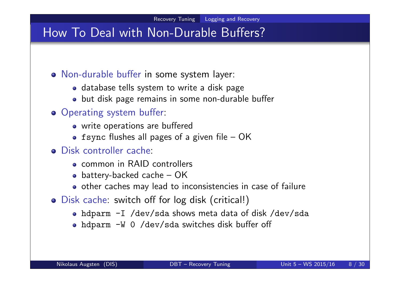## How To Deal with Non-Durable Buffers?

- Non-durable buffer in some system layer:
	- database tells system to write a disk page
	- but disk page remains in some non-durable buffer

### **o** Operating system buffer:

- write operations are buffered
- fsync flushes all pages of a given file  $-$  OK
- Disk controller cache:
	- common in RAID controllers
	- battery-backed cache  $-$  OK
	- other caches may lead to inconsistencies in case of failure
- Disk cache: switch off for log disk (critical!)
	- hdparm -I /dev/sda shows meta data of disk /dev/sda
	- hdparm -W 0 /dev/sda switches disk buffer off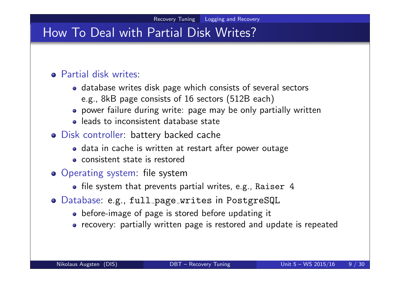## How To Deal with Partial Disk Writes?

### Partial disk writes:

- database writes disk page which consists of several sectors e.g., 8kB page consists of 16 sectors (512B each)
- power failure during write: page may be only partially written
- **e** leads to inconsistent database state
- Disk controller: battery backed cache
	- data in cache is written at restart after power outage
	- consistent state is restored
- Operating system: file system
	- file system that prevents partial writes, e.g., Raiser  $4$
- Database: e.g., full page writes in PostgreSQL
	- before-image of page is stored before updating it
	- recovery: partially written page is restored and update is repeated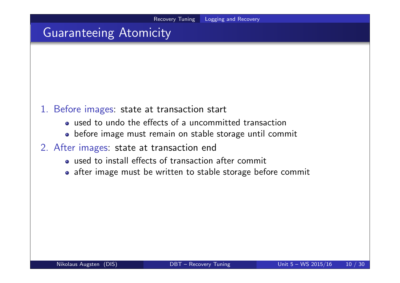## Guaranteeing Atomicity

- 1. Before images: state at transaction start
	- used to undo the effects of a uncommitted transaction
	- before image must remain on stable storage until commit
- 2. After images: state at transaction end
	- used to install effects of transaction after commit
	- after image must be written to stable storage before commit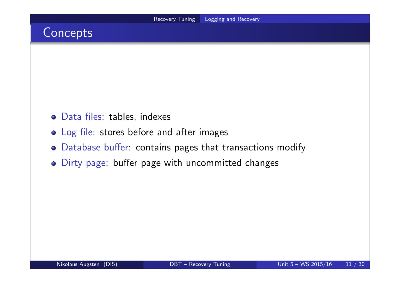## Concepts

- Data files: tables, indexes
- Log file: stores before and after images
- Database buffer: contains pages that transactions modify
- Dirty page: buffer page with uncommitted changes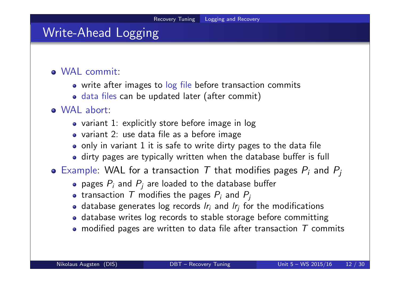## Write-Ahead Logging

### WAL commit:

- write after images to log file before transaction commits
- data files can be updated later (after commit)

### WAL abort:

- variant 1: explicitly store before image in log
- variant 2: use data file as a before image
- only in variant 1 it is safe to write dirty pages to the data file
- dirty pages are typically written when the database buffer is full
- Example: WAL for a transaction  $T$  that modifies pages  $P_i$  and  $P_j$ 
	- pages  $P_i$  and  $P_j$  are loaded to the database buffer
	- transaction  $\, {\cal T} \,$  modifies the pages  $P_i$  and  $P_j$
	- database generates log records  $\mathit{l}r_i$  and  $\mathit{l}r_j$  for the modifications
	- database writes log records to stable storage before committing
	- modified pages are written to data file after transaction  $T$  commits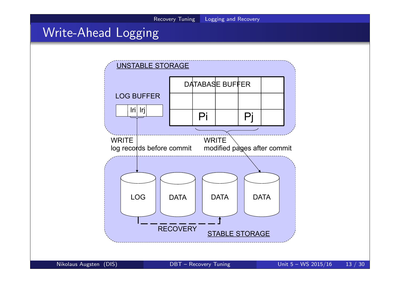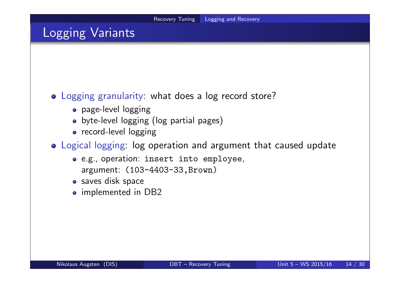## Logging Variants

### Logging granularity: what does a log record store?

- page-level logging
- byte-level logging (log partial pages)
- record-level logging
- Logical logging: log operation and argument that caused update
	- e.g., operation: insert into employee, argument: (103-4403-33,Brown)
	- saves disk space
	- implemented in DB2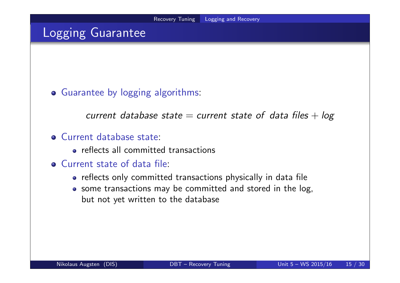## Logging Guarantee

Guarantee by logging algorithms:

current database state  $=$  current state of data files  $+$  log

#### Current database state:

- **•** reflects all committed transactions
- Current state of data file:
	- reflects only committed transactions physically in data file
	- some transactions may be committed and stored in the log, but not yet written to the database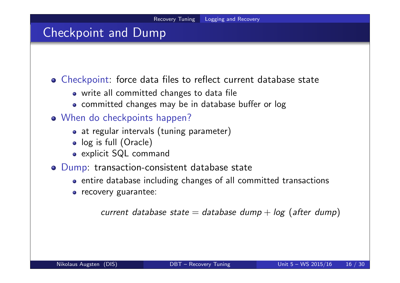### Checkpoint and Dump

Checkpoint: force data files to reflect current database state

- write all committed changes to data file
- committed changes may be in database buffer or log
- When do checkpoints happen?
	- at regular intervals (tuning parameter)
	- log is full (Oracle)
	- explicit SQL command
- Dump: transaction-consistent database state
	- entire database including changes of all committed transactions
	- **o** recovery guarantee:

```
current database state = database dump + log (after dump)
```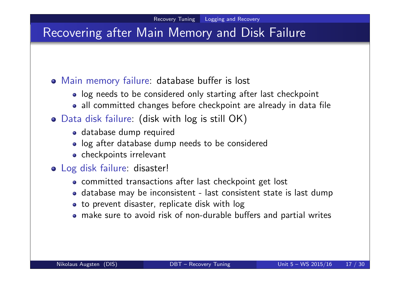## Recovering after Main Memory and Disk Failure

### Main memory failure: database buffer is lost

- log needs to be considered only starting after last checkpoint
- all committed changes before checkpoint are already in data file
- Data disk failure: (disk with log is still OK)
	- database dump required
	- log after database dump needs to be considered
	- checkpoints irrelevant
- Log disk failure: disaster!
	- committed transactions after last checkpoint get lost
	- database may be inconsistent last consistent state is last dump
	- to prevent disaster, replicate disk with log
	- make sure to avoid risk of non-durable buffers and partial writes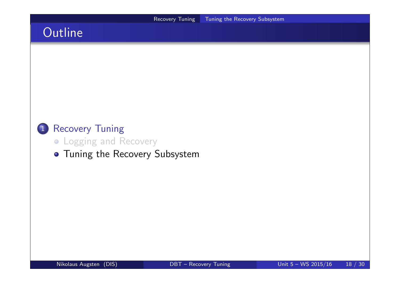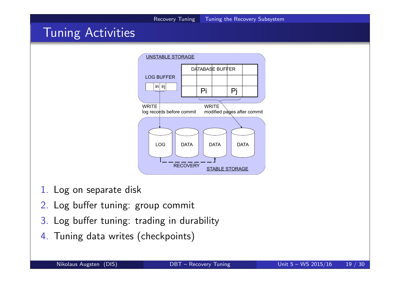

- 3. Log buffer tuning: trading in durability
- 4. Tuning data writes (checkpoints)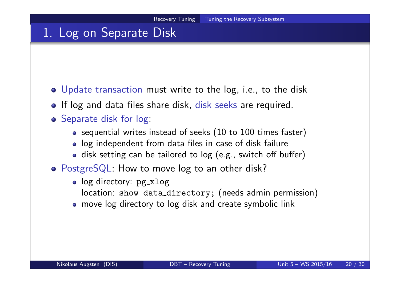## 1. Log on Separate Disk

- Update transaction must write to the log, i.e., to the disk
- If log and data files share disk, disk seeks are required.
- **o** Separate disk for log:
	- sequential writes instead of seeks (10 to 100 times faster)
	- log independent from data files in case of disk failure
	- disk setting can be tailored to log (e.g., switch off buffer)
- PostgreSQL: How to move log to an other disk?
	- log directory: pg\_xlog
		- location: show data\_directory; (needs admin permission)
	- move log directory to log disk and create symbolic link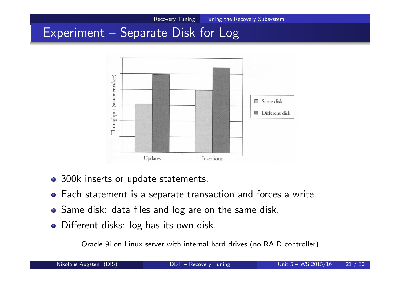![](_page_20_Figure_0.jpeg)

- 300k inserts or update statements.
- Each statement is a separate transaction and forces a write.
- Same disk: data files and log are on the same disk.
- Different disks: log has its own disk.

Oracle 9i on Linux server with internal hard drives (no RAID controller)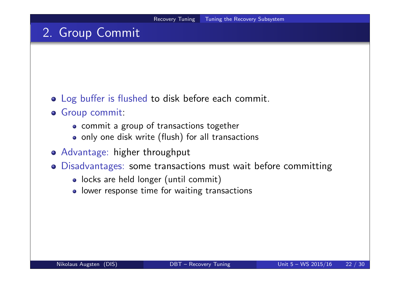## 2. Group Commit

- Log buffer is flushed to disk before each commit.
- Group commit:
	- commit a group of transactions together
	- only one disk write (flush) for all transactions
- Advantage: higher throughput
- Disadvantages: some transactions must wait before committing
	- locks are held longer (until commit)
	- lower response time for waiting transactions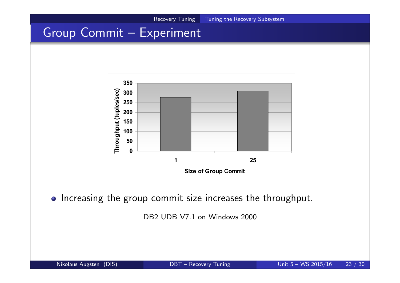![](_page_22_Figure_0.jpeg)

# Group Commit – Experiment

![](_page_22_Figure_2.jpeg)

o Increasing the group commit size increases the throughput.

DB<sub>2</sub> UDB V<sub>7.1</sub> on Windows 2000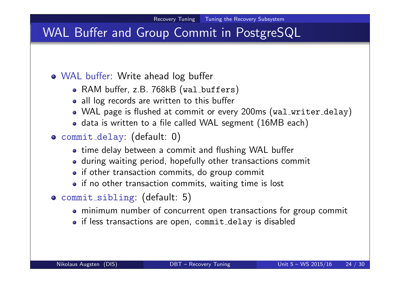## WAL Buffer and Group Commit in PostgreSQL

### WAL buffer: Write ahead log buffer

- RAM buffer, z.B. 768kB (wal\_buffers)
- all log records are written to this buffer
- WAL page is flushed at commit or every 200ms (wal\_writer\_delay)
- data is written to a file called WAL segment (16MB each)
- commit delay: (default: 0)
	- time delay between a commit and flushing WAL buffer
	- during waiting period, hopefully other transactions commit
	- if other transaction commits, do group commit
	- if no other transaction commits, waiting time is lost
- commit sibling: (default: 5)
	- minimum number of concurrent open transactions for group commit
	- if less transactions are open, commit delay is disabled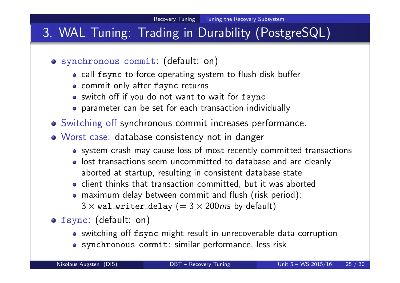# 3. WAL Tuning: Trading in Durability (PostgreSQL)

- synchronous commit: (default: on)
	- call fsync to force operating system to flush disk buffer
	- commit only after fsync returns
	- switch off if you do not want to wait for fsync
	- parameter can be set for each transaction individually
- Switching off synchronous commit increases performance.
- Worst case: database consistency not in danger
	- system crash may cause loss of most recently committed transactions
	- lost transactions seem uncommitted to database and are cleanly aborted at startup, resulting in consistent database state
	- client thinks that transaction committed, but it was aborted
	- maximum delay between commit and flush (risk period):  $3 \times$  wal\_writer\_delay (=  $3 \times 200$  ms by default)
- fsync: (default: on)
	- switching off fsync might result in unrecoverable data corruption
	- synchronous commit: similar performance, less risk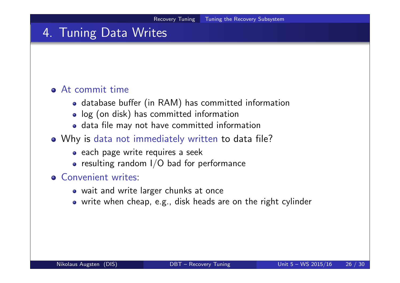## 4. Tuning Data Writes

### At commit time

- database buffer (in RAM) has committed information
- log (on disk) has committed information
- data file may not have committed information
- Why is data not immediately written to data file?
	- each page write requires a seek
	- $\bullet$  resulting random I/O bad for performance

#### **Q** Convenient writes:

- wait and write larger chunks at once
- write when cheap, e.g., disk heads are on the right cylinder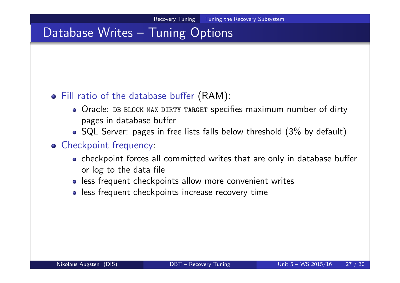### Database Writes – Tuning Options

### Fill ratio of the database buffer (RAM):

- Oracle: DB BLOCK MAX DIRTY TARGET specifies maximum number of dirty pages in database buffer
- SQL Server: pages in free lists falls below threshold (3% by default)

### **o** Checkpoint frequency:

- checkpoint forces all committed writes that are only in database buffer or log to the data file
- less frequent checkpoints allow more convenient writes
- less frequent checkpoints increase recovery time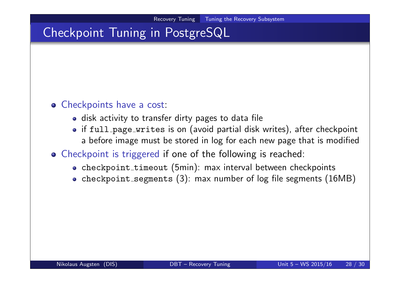# Checkpoint Tuning in PostgreSQL

#### **o** Checkpoints have a cost:

- disk activity to transfer dirty pages to data file
- if full page writes is on (avoid partial disk writes), after checkpoint a before image must be stored in log for each new page that is modified

### Checkpoint is triggered if one of the following is reached:

- checkpoint\_timeout (5min): max interval between checkpoints
- checkpoint\_segments (3): max number of log file segments (16MB)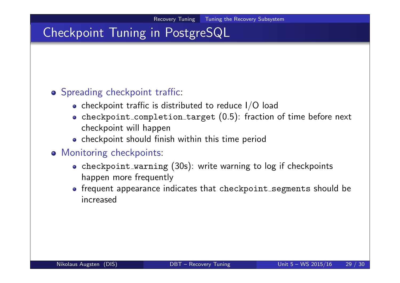# Checkpoint Tuning in PostgreSQL

### **o** Spreading checkpoint traffic:

- checkpoint traffic is distributed to reduce  $I/O$  load
- checkpoint\_completion\_target (0.5): fraction of time before next checkpoint will happen
- checkpoint should finish within this time period

### **o** Monitoring checkpoints:

- checkpoint warning (30s): write warning to log if checkpoints happen more frequently
- frequent appearance indicates that checkpoint segments should be increased